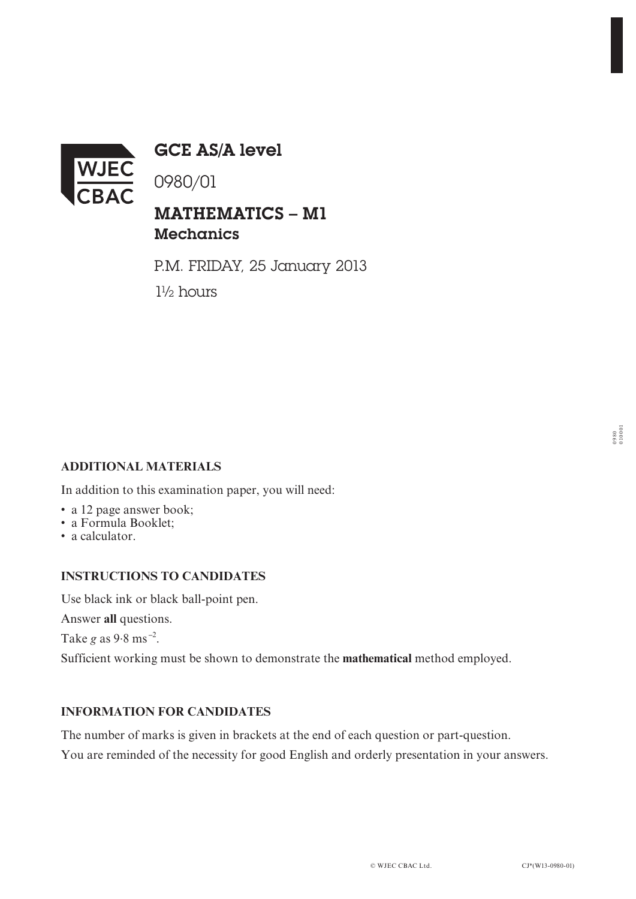

GCE AS/A level

0980/01

# MATHEMATICS – M1 **Mechanics**

P.M. FRIDAY, 25 January 2013 1½ hours

## **ADDITIONAL MATERIALS**

In addition to this examination paper, you will need:

- a 12 page answer book;
- a Formula Booklet;
- a calculator.

#### **INSTRUCTIONS TO CANDIDATES**

Use black ink or black ball-point pen.

Answer **all** questions.

Take *g* as 9.8 ms **–**<sup>2</sup> .

Sufficient working must be shown to demonstrate the **mathematical** method employed.

## **INFORMATION FOR CANDIDATES**

The number of marks is given in brackets at the end of each question or part-question.

You are reminded of the necessity for good English and orderly presentation in your answers.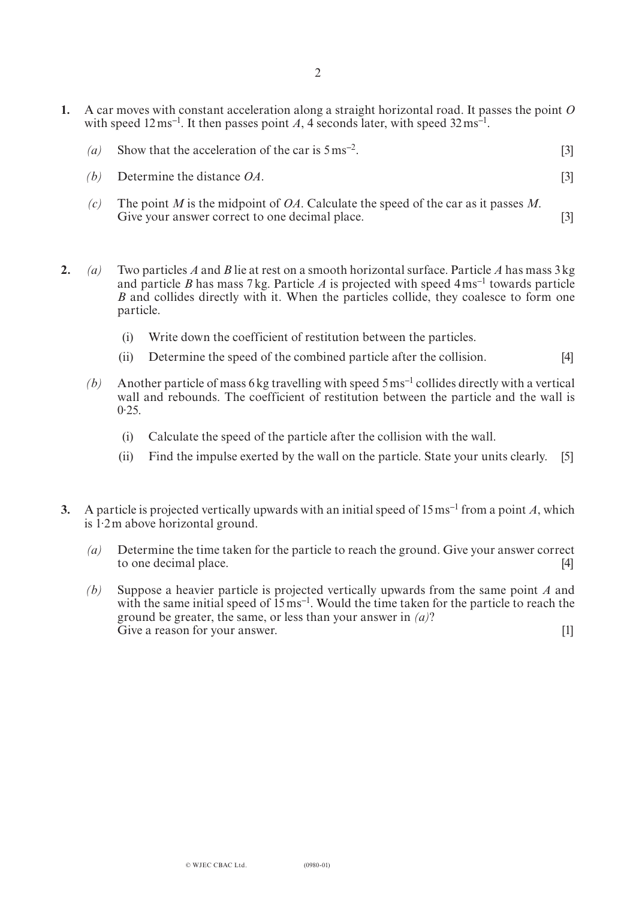- **1.** A car moves with constant acceleration along a straight horizontal road. It passes the point *O* with speed 12 ms<sup>-1</sup>. It then passes point A, 4 seconds later, with speed 32 ms<sup>-1</sup>.
	- *(a)* Show that the acceleration of the car is 5ms**–**2. [3]
	- *(b)* Determine the distance *OA*. [3]
	- *(c)* The point *M* is the midpoint of *OA*. Calculate the speed of the car as it passes *M*. Give your answer correct to one decimal place. [3]
- **2.** *(a)* Two particles *A* and *B* lie at rest on a smooth horizontal surface. Particle *A* has mass 3kg and particle *B* has mass 7kg. Particle *A* is projected with speed 4ms**–**1 towards particle *B* and collides directly with it. When the particles collide, they coalesce to form one particle.
	- (i) Write down the coefficient of restitution between the particles.
	- (ii) Determine the speed of the combined particle after the collision. [4]
	- *(b)* Another particle of mass 6kg travelling with speed 5ms**–**1 collides directly with a vertical wall and rebounds. The coefficient of restitution between the particle and the wall is  $0.25$ .
		- (i) Calculate the speed of the particle after the collision with the wall.
		- (ii) Find the impulse exerted by the wall on the particle. State your units clearly. [5]
- **3.** A particle is projected vertically upwards with an initial speed of 15ms**–**<sup>1</sup> from a point *A*, which is 1. 2m above horizontal ground.
	- *(a)* Determine the time taken for the particle to reach the ground. Give your answer correct to one decimal place. [4]
	- *(b)* Suppose a heavier particle is projected vertically upwards from the same point *A* and with the same initial speed of 15ms**–**<sup>1</sup> . Would the time taken for the particle to reach the ground be greater, the same, or less than your answer in *(a)*? Give a reason for your answer. [1]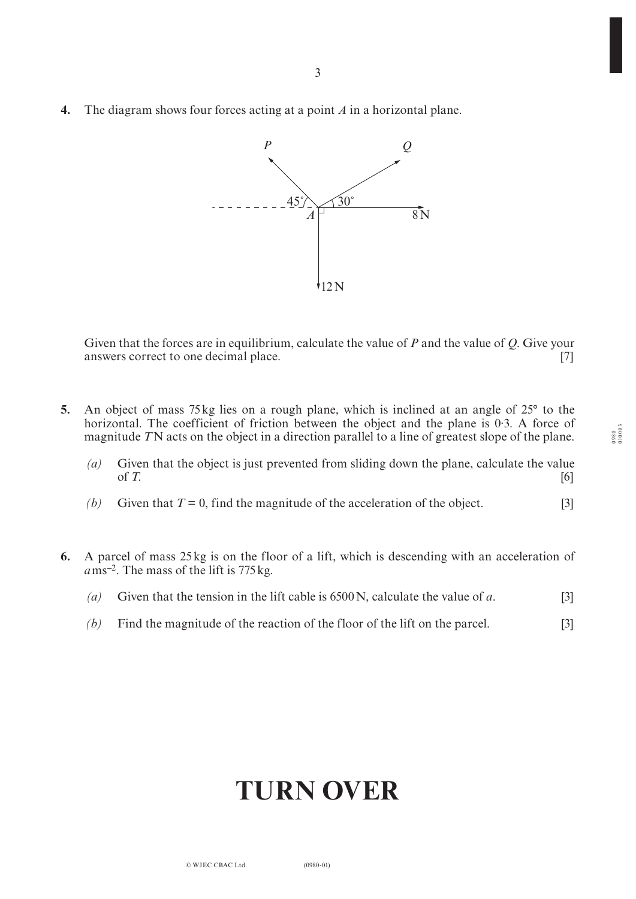**4.** The diagram shows four forces acting at a point *A* in a horizontal plane.



Given that the forces are in equilibrium, calculate the value of *P* and the value of *Q*. Give your answers correct to one decimal place. [7]

- **5.** An object of mass 75kg lies on a rough plane, which is inclined at an angle of 25° to the horizontal. The coefficient of friction between the object and the plane is 0. 3. A force of magnitude *T*N acts on the object in a direction parallel to a line of greatest slope of the plane.
	- *(a)* Given that the object is just prevented from sliding down the plane, calculate the value of T. of  $T$ .  $[6]$
	- *(b)* Given that  $T = 0$ , find the magnitude of the acceleration of the object. [3]
- **6.** A parcel of mass 25kg is on the floor of a lift, which is descending with an acceleration of *a*ms**–**2. The mass of the lift is 775kg.
	- *(a)* Given that the tension in the lift cable is 6500N, calculate the value of *a*. [3]
	- *(b)* Find the magnitude of the reaction of the floor of the lift on the parcel. [3]

# **TURN OVER**

0980 010003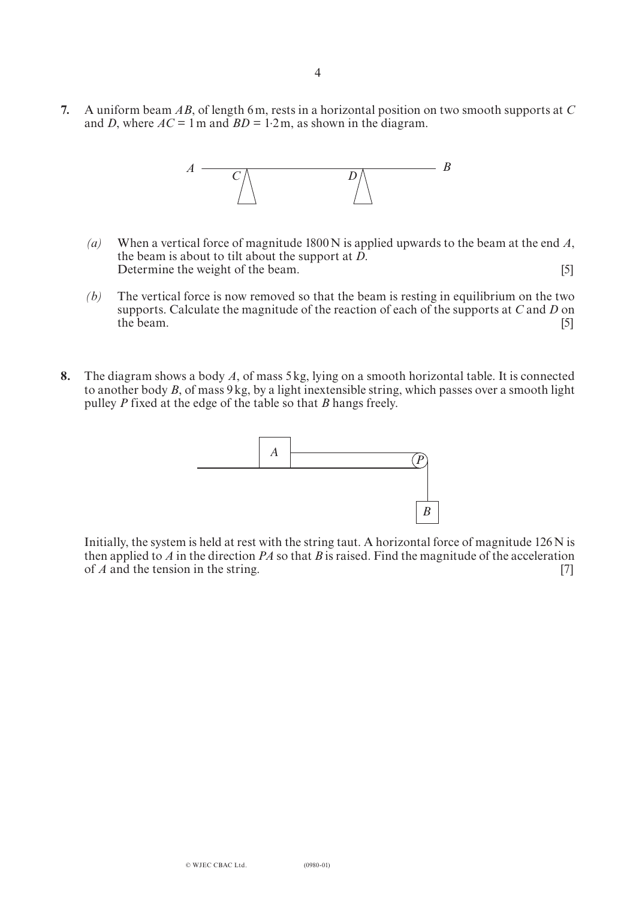**7.** A uniform beam *AB*, of length 6m, rests in a horizontal position on two smooth supports at *C* and *D*, where  $AC = 1$  m and  $BD = 1.2$  m, as shown in the diagram.



- *(a)* When a vertical force of magnitude 1800N is applied upwards to the beam at the end *A*, the beam is about to tilt about the support at *D*. Determine the weight of the beam. [5]
- *(b)* The vertical force is now removed so that the beam is resting in equilibrium on the two supports. Calculate the magnitude of the reaction of each of the supports at *C* and *D* on the beam. the beam.  $[5]$
- **8.** The diagram shows a body *A*, of mass 5kg, lying on a smooth horizontal table. It is connected to another body *B*, of mass 9kg, by a light inextensible string, which passes over a smooth light pulley *P* fixed at the edge of the table so that *B* hangs freely.



Initially, the system is held at rest with the string taut. A horizontal force of magnitude 126 N is then applied to *A* in the direction *PA* so that *B* is raised. Find the magnitude of the acceleration of *A* and the tension in the string. [7]